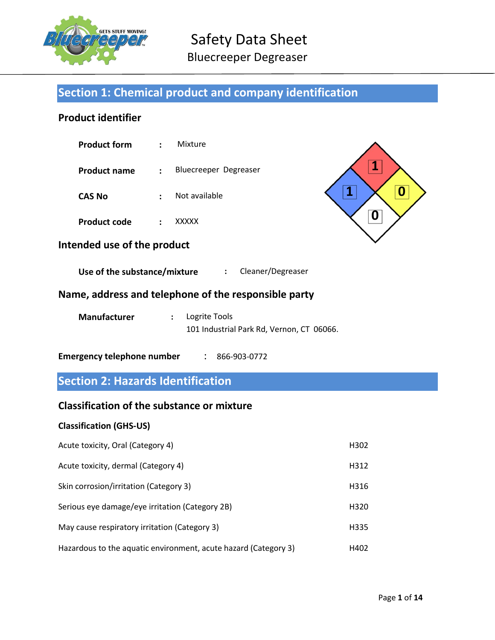

# Safety Data Sheet

Bluecreeper Degreaser

# Section 1: Chemical product and company identification

# Product identifier

| <b>Product form</b> | $\mathcal{L}$ | Mixture               |
|---------------------|---------------|-----------------------|
| <b>Product name</b> | $\mathcal{L}$ | Bluecreeper Degreaser |
| <b>CAS No</b>       |               | Not available         |

Product code : XXXXX



# Intended use of the product

Use of the substance/mixture : Cleaner/Degreaser

# Name, address and telephone of the responsible party

| <b>Manufacturer</b> | : Logrite Tools                           |  |
|---------------------|-------------------------------------------|--|
|                     | 101 Industrial Park Rd, Vernon, CT 06066. |  |

# Emergency telephone number : 866-903-0772

# Section 2: Hazards Identification

# Classification of the substance or mixture

# Classification (GHS-US)

| Acute toxicity, Oral (Category 4)                               | H302 |
|-----------------------------------------------------------------|------|
| Acute toxicity, dermal (Category 4)                             | H312 |
| Skin corrosion/irritation (Category 3)                          | H316 |
| Serious eye damage/eye irritation (Category 2B)                 | H320 |
| May cause respiratory irritation (Category 3)                   | H335 |
| Hazardous to the aquatic environment, acute hazard (Category 3) | H402 |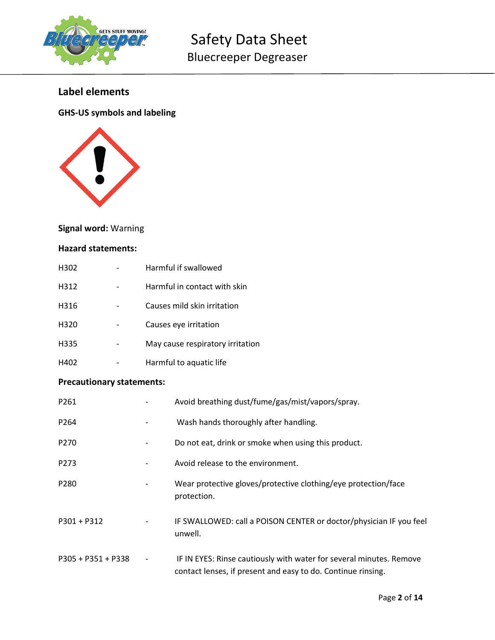

# Label elements

# GHS-US symbols and labeling



# Signal word: Warning

## Hazard statements:

| H302             | Harmful if swallowed             |
|------------------|----------------------------------|
| H312             | Harmful in contact with skin     |
| H316             | Causes mild skin irritation      |
| H <sub>320</sub> | Causes eye irritation            |
| H335             | May cause respiratory irritation |
| H402             | Harmful to aquatic life          |

# Precautionary statements:

| P261                 |                          | Avoid breathing dust/fume/gas/mist/vapors/spray.                                                                                    |
|----------------------|--------------------------|-------------------------------------------------------------------------------------------------------------------------------------|
| P264                 |                          | Wash hands thoroughly after handling.                                                                                               |
| P <sub>270</sub>     |                          | Do not eat, drink or smoke when using this product.                                                                                 |
| P273                 |                          | Avoid release to the environment.                                                                                                   |
| P <sub>280</sub>     |                          | Wear protective gloves/protective clothing/eye protection/face<br>protection.                                                       |
| $P301 + P312$        |                          | IF SWALLOWED: call a POISON CENTER or doctor/physician IF you feel<br>unwell.                                                       |
| $P305 + P351 + P338$ | $\overline{\phantom{a}}$ | IF IN EYES: Rinse cautiously with water for several minutes. Remove<br>contact lenses, if present and easy to do. Continue rinsing. |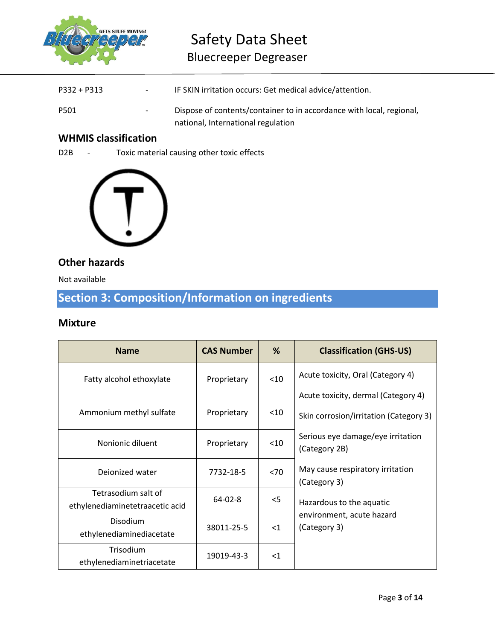

# Safety Data Sheet Bluecreeper Degreaser

| P332 + P313 | $\sim$ 100 $\mu$ | IF SKIN irritation occurs: Get medical advice/attention.             |
|-------------|------------------|----------------------------------------------------------------------|
| P501        | $\sim$           | Dispose of contents/container to in accordance with local, regional, |
|             |                  | national, International regulation                                   |

# WHMIS classification

D2B - Toxic material causing other toxic effects



# Other hazards

Not available

# Section 3: Composition/Information on ingredients

# Mixture

| <b>Name</b>                                            | <b>CAS Number</b>   | %      | <b>Classification (GHS-US)</b>                                                |
|--------------------------------------------------------|---------------------|--------|-------------------------------------------------------------------------------|
| Fatty alcohol ethoxylate                               | Proprietary         | < 10   | Acute toxicity, Oral (Category 4)                                             |
| Ammonium methyl sulfate                                | Proprietary         | $<$ 10 | Acute toxicity, dermal (Category 4)<br>Skin corrosion/irritation (Category 3) |
| Nonionic diluent                                       | $10$<br>Proprietary |        | Serious eye damage/eye irritation<br>(Category 2B)                            |
| Deionized water                                        | 7732-18-5           | < 70   | May cause respiratory irritation<br>(Category 3)                              |
| Tetrasodium salt of<br>ethylenediaminetetraacetic acid | $64 - 02 - 8$       | $<$ 5  | Hazardous to the aquatic                                                      |
| <b>Disodium</b><br>ethylenediaminediacetate            | 38011-25-5          | $<$ 1  | environment, acute hazard<br>(Category 3)                                     |
| Trisodium<br>ethylenediaminetriacetate                 | 19019-43-3          | $<$ 1  |                                                                               |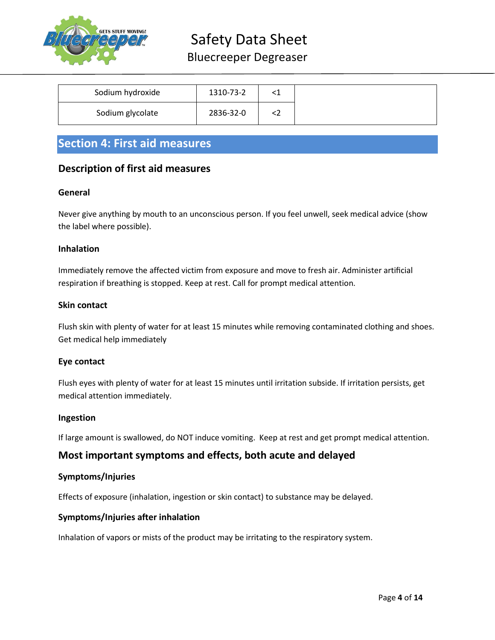

# Safety Data Sheet

# Bluecreeper Degreaser

| Sodium hydroxide | 1310-73-2 |    |
|------------------|-----------|----|
| Sodium glycolate | 2836-32-0 | `` |

# Section 4: First aid measures

# Description of first aid measures

# General

Never give anything by mouth to an unconscious person. If you feel unwell, seek medical advice (show the label where possible).

## Inhalation

Immediately remove the affected victim from exposure and move to fresh air. Administer artificial respiration if breathing is stopped. Keep at rest. Call for prompt medical attention.

## Skin contact

Flush skin with plenty of water for at least 15 minutes while removing contaminated clothing and shoes. Get medical help immediately

## Eye contact

Flush eyes with plenty of water for at least 15 minutes until irritation subside. If irritation persists, get medical attention immediately.

## Ingestion

If large amount is swallowed, do NOT induce vomiting. Keep at rest and get prompt medical attention.

# Most important symptoms and effects, both acute and delayed

## Symptoms/Injuries

Effects of exposure (inhalation, ingestion or skin contact) to substance may be delayed.

# Symptoms/Injuries after inhalation

Inhalation of vapors or mists of the product may be irritating to the respiratory system.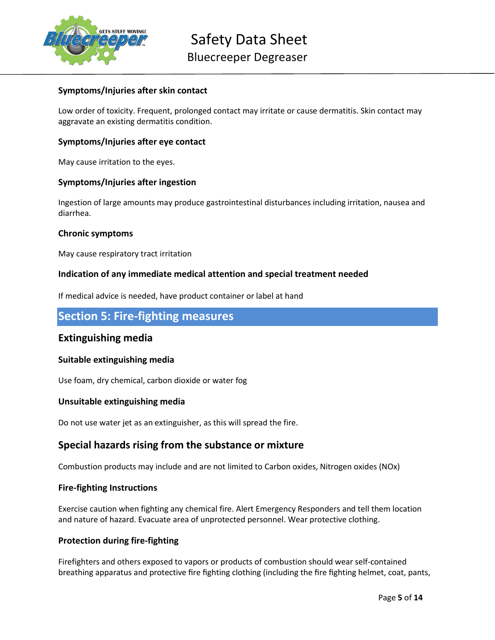

## Symptoms/Injuries after skin contact

Low order of toxicity. Frequent, prolonged contact may irritate or cause dermatitis. Skin contact may aggravate an existing dermatitis condition.

## Symptoms/Injuries after eye contact

May cause irritation to the eyes.

## Symptoms/Injuries after ingestion

Ingestion of large amounts may produce gastrointestinal disturbances including irritation, nausea and diarrhea.

#### Chronic symptoms

May cause respiratory tract irritation

## Indication of any immediate medical attention and special treatment needed

If medical advice is needed, have product container or label at hand

# Section 5: Fire-fighting measures

# Extinguishing media

## Suitable extinguishing media

Use foam, dry chemical, carbon dioxide or water fog

## Unsuitable extinguishing media

Do not use water jet as an extinguisher, as this will spread the fire.

# Special hazards rising from the substance or mixture

Combustion products may include and are not limited to Carbon oxides, Nitrogen oxides (NOx)

#### Fire-fighting Instructions

Exercise caution when fighting any chemical fire. Alert Emergency Responders and tell them location and nature of hazard. Evacuate area of unprotected personnel. Wear protective clothing.

## Protection during fire-fighting

Firefighters and others exposed to vapors or products of combustion should wear self-contained breathing apparatus and protective fire fighting clothing (including the fire fighting helmet, coat, pants,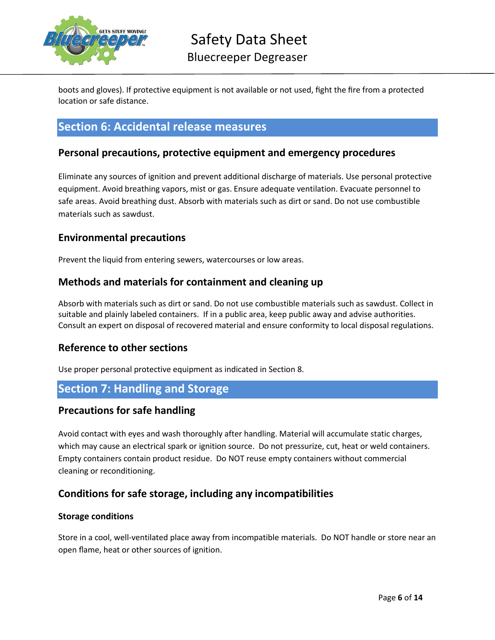

boots and gloves). If protective equipment is not available or not used, fight the fire from a protected location or safe distance.

# Section 6: Accidental release measures

# Personal precautions, protective equipment and emergency procedures

Eliminate any sources of ignition and prevent additional discharge of materials. Use personal protective equipment. Avoid breathing vapors, mist or gas. Ensure adequate ventilation. Evacuate personnel to safe areas. Avoid breathing dust. Absorb with materials such as dirt or sand. Do not use combustible materials such as sawdust.

# Environmental precautions

Prevent the liquid from entering sewers, watercourses or low areas.

# Methods and materials for containment and cleaning up

Absorb with materials such as dirt or sand. Do not use combustible materials such as sawdust. Collect in suitable and plainly labeled containers. If in a public area, keep public away and advise authorities. Consult an expert on disposal of recovered material and ensure conformity to local disposal regulations.

# Reference to other sections

Use proper personal protective equipment as indicated in Section 8.

# Section 7: Handling and Storage

# Precautions for safe handling

Avoid contact with eyes and wash thoroughly after handling. Material will accumulate static charges, which may cause an electrical spark or ignition source. Do not pressurize, cut, heat or weld containers. Empty containers contain product residue. Do NOT reuse empty containers without commercial cleaning or reconditioning.

# Conditions for safe storage, including any incompatibilities

## Storage conditions

Store in a cool, well-ventilated place away from incompatible materials. Do NOT handle or store near an open flame, heat or other sources of ignition.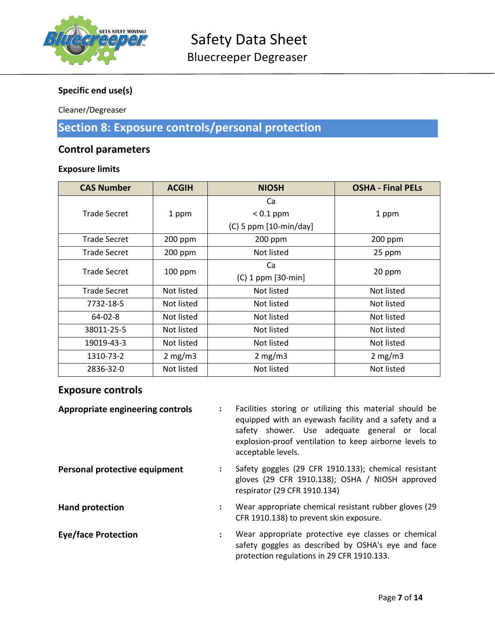

# Specific end use(s)

Cleaner/Degreaser

# Section 8: Exposure controls/personal protection

# Control parameters

# Exposure limits

| <b>CAS Number</b>   | <b>ACGIH</b>                      | <b>NIOSH</b>                      | <b>OSHA - Final PELs</b> |  |
|---------------------|-----------------------------------|-----------------------------------|--------------------------|--|
|                     |                                   | Ca                                |                          |  |
| <b>Trade Secret</b> | 1 ppm                             | $< 0.1$ ppm                       | 1 ppm                    |  |
|                     |                                   | $(C)$ 5 ppm $[10\text{-min/day}]$ |                          |  |
| <b>Trade Secret</b> | 200 ppm                           | 200 ppm                           | 200 ppm                  |  |
| Trade Secret        | $200$ ppm                         | Not listed                        | 25 ppm                   |  |
| <b>Trade Secret</b> |                                   | Ca                                |                          |  |
| $100$ ppm           | 20 ppm<br>$(C)$ 1 ppm $[30$ -min] |                                   |                          |  |
| <b>Trade Secret</b> | Not listed                        | Not listed                        | Not listed               |  |
| 7732-18-5           | Not listed                        | Not listed                        | Not listed               |  |
| $64 - 02 - 8$       | Not listed                        | Not listed                        | Not listed               |  |
| 38011-25-5          | Not listed                        | Not listed                        | Not listed               |  |
| 19019-43-3          | Not listed                        | Not listed                        | Not listed               |  |
| 1310-73-2           | 2 mg/m3                           | $2 \text{ mg/m}$                  | 2 mg/m3                  |  |
| 2836-32-0           | Not listed                        | Not listed                        | Not listed               |  |

# Exposure controls

| <b>Appropriate engineering controls</b> |                      | Facilities storing or utilizing this material should be<br>equipped with an eyewash facility and a safety and a<br>safety shower. Use adequate general or local<br>explosion-proof ventilation to keep airborne levels to<br>acceptable levels. |
|-----------------------------------------|----------------------|-------------------------------------------------------------------------------------------------------------------------------------------------------------------------------------------------------------------------------------------------|
| Personal protective equipment           |                      | Safety goggles (29 CFR 1910.133); chemical resistant<br>gloves (29 CFR 1910.138); OSHA / NIOSH approved<br>respirator (29 CFR 1910.134)                                                                                                         |
| <b>Hand protection</b>                  |                      | Wear appropriate chemical resistant rubber gloves (29<br>CFR 1910.138) to prevent skin exposure.                                                                                                                                                |
| <b>Eye/face Protection</b>              | $\ddot{\phantom{a}}$ | Wear appropriate protective eye classes or chemical<br>safety goggles as described by OSHA's eye and face<br>protection regulations in 29 CFR 1910.133.                                                                                         |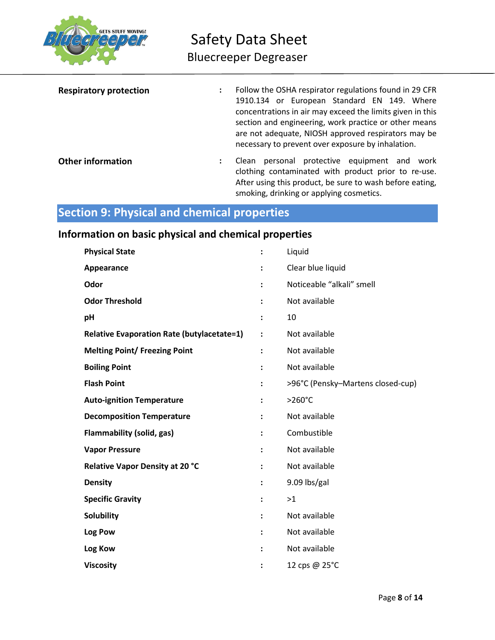

| <b>Respiratory protection</b> | Follow the OSHA respirator regulations found in 29 CFR<br>1910.134 or European Standard EN 149. Where<br>concentrations in air may exceed the limits given in this<br>section and engineering, work practice or other means<br>are not adequate, NIOSH approved respirators may be<br>necessary to prevent over exposure by inhalation. |
|-------------------------------|-----------------------------------------------------------------------------------------------------------------------------------------------------------------------------------------------------------------------------------------------------------------------------------------------------------------------------------------|
| <b>Other information</b>      | personal protective equipment and<br>Clean<br>work<br>clothing contaminated with product prior to re-use.<br>After using this product, be sure to wash before eating,<br>smoking, drinking or applying cosmetics.                                                                                                                       |

# Section 9: Physical and chemical properties

# Information on basic physical and chemical properties

| <b>Physical State</b>                             |                      | Liquid                            |
|---------------------------------------------------|----------------------|-----------------------------------|
| Appearance                                        | ፡                    | Clear blue liquid                 |
| Odor                                              | $\ddot{\phantom{a}}$ | Noticeable "alkali" smell         |
| <b>Odor Threshold</b>                             | $\ddot{\phantom{a}}$ | Not available                     |
| pH                                                | ፡                    | 10                                |
| <b>Relative Evaporation Rate (butylacetate=1)</b> | $\ddot{\phantom{a}}$ | Not available                     |
| <b>Melting Point/ Freezing Point</b>              | ፡                    | Not available                     |
| <b>Boiling Point</b>                              | $\ddot{\phantom{a}}$ | Not available                     |
| <b>Flash Point</b>                                | $\ddot{\phantom{a}}$ | >96°C (Pensky-Martens closed-cup) |
| <b>Auto-ignition Temperature</b>                  | $\ddot{\phantom{a}}$ | $>260^{\circ}$ C                  |
| <b>Decomposition Temperature</b>                  | $\ddot{\phantom{a}}$ | Not available                     |
| <b>Flammability (solid, gas)</b>                  | :                    | Combustible                       |
| <b>Vapor Pressure</b>                             |                      | Not available                     |
| Relative Vapor Density at 20 °C                   | $\ddot{\phantom{a}}$ | Not available                     |
| <b>Density</b>                                    | ፡                    | 9.09 lbs/gal                      |
| <b>Specific Gravity</b>                           |                      | >1                                |
| <b>Solubility</b>                                 |                      | Not available                     |
| Log Pow                                           |                      | Not available                     |
| Log Kow                                           | $\ddot{\phantom{a}}$ | Not available                     |
| <b>Viscosity</b>                                  |                      | 12 cps @ 25°C                     |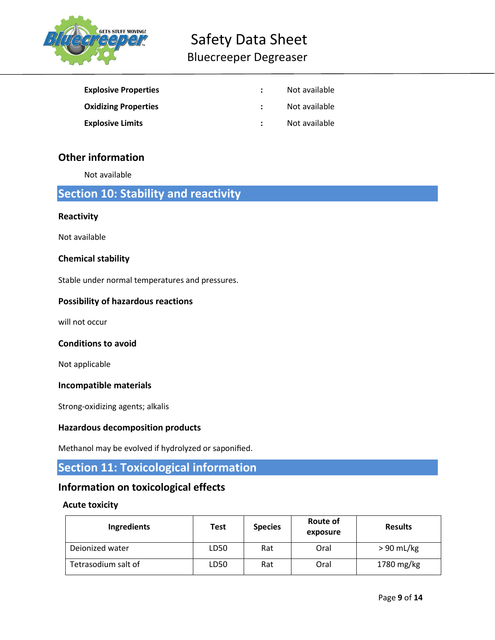

# Safety Data Sheet Bluecreeper Degreaser

| <b>Explosive Properties</b> | Not available |
|-----------------------------|---------------|
| <b>Oxidizing Properties</b> | Not available |
| <b>Explosive Limits</b>     | Not available |

# Other information

Not available

# Section 10: Stability and reactivity

## **Reactivity**

Not available

## Chemical stability

Stable under normal temperatures and pressures.

## Possibility of hazardous reactions

will not occur

# Conditions to avoid

Not applicable

## Incompatible materials

Strong-oxidizing agents; alkalis

## Hazardous decomposition products

Methanol may be evolved if hydrolyzed or saponified.

# Section 11: Toxicological information

# Information on toxicological effects

## Acute toxicity

| <b>Ingredients</b>  | Test | <b>Species</b> | <b>Route of</b><br>exposure | <b>Results</b> |
|---------------------|------|----------------|-----------------------------|----------------|
| Dejonized water     | LD50 | Rat            | Oral                        | $> 90$ mL/kg   |
| Tetrasodium salt of | LD50 | Rat            | Oral                        | 1780 mg/kg     |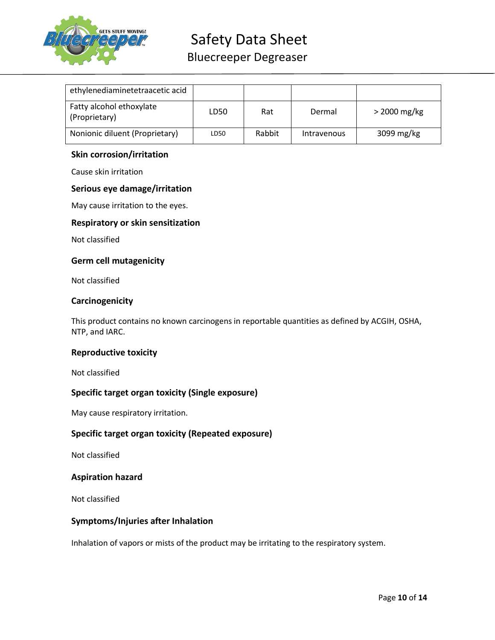

# Safety Data Sheet

Bluecreeper Degreaser

| ethylenediaminetetraacetic acid           |      |        |             |                |
|-------------------------------------------|------|--------|-------------|----------------|
| Fatty alcohol ethoxylate<br>(Proprietary) | LD50 | Rat    | Dermal      | $>$ 2000 mg/kg |
| Nonionic diluent (Proprietary)            | LD50 | Rabbit | Intravenous | 3099 mg/kg     |

## Skin corrosion/irritation

Cause skin irritation

## Serious eye damage/irritation

May cause irritation to the eyes.

## Respiratory or skin sensitization

Not classified

## Germ cell mutagenicity

Not classified

## **Carcinogenicity**

This product contains no known carcinogens in reportable quantities as defined by ACGIH, OSHA, NTP, and IARC.

## Reproductive toxicity

Not classified

## Specific target organ toxicity (Single exposure)

May cause respiratory irritation.

## Specific target organ toxicity (Repeated exposure)

Not classified

## Aspiration hazard

Not classified

## Symptoms/Injuries after Inhalation

Inhalation of vapors or mists of the product may be irritating to the respiratory system.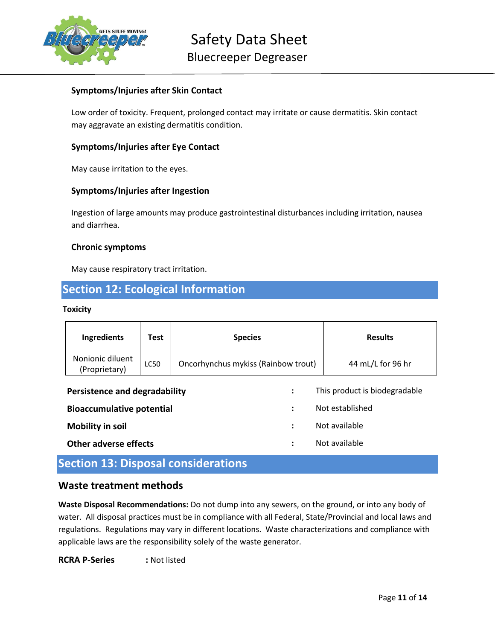

# Symptoms/Injuries after Skin Contact

Low order of toxicity. Frequent, prolonged contact may irritate or cause dermatitis. Skin contact may aggravate an existing dermatitis condition.

## Symptoms/Injuries after Eye Contact

May cause irritation to the eyes.

## Symptoms/Injuries after Ingestion

Ingestion of large amounts may produce gastrointestinal disturbances including irritation, nausea and diarrhea.

#### Chronic symptoms

May cause respiratory tract irritation.

# Section 12: Ecological Information

#### **Toxicity**

| Ingredients                                                  | <b>Test</b> | <b>Species</b>                      |  | <b>Results</b>                |
|--------------------------------------------------------------|-------------|-------------------------------------|--|-------------------------------|
| Nonionic diluent<br>(Proprietary)                            | LC50        | Oncorhynchus mykiss (Rainbow trout) |  | 44 mL/L for 96 hr             |
| <b>Persistence and degradability</b><br>$\ddot{\phantom{a}}$ |             |                                     |  | This product is biodegradable |
| <b>Bioaccumulative potential</b><br>٠                        |             | Not established                     |  |                               |
| <b>Mobility in soil</b>                                      |             | $\ddot{\cdot}$                      |  | Not available                 |
| Other adverse effects                                        |             | ٠<br>$\bullet$                      |  | Not available                 |

# Section 13: Disposal considerations

# Waste treatment methods

Waste Disposal Recommendations: Do not dump into any sewers, on the ground, or into any body of water. All disposal practices must be in compliance with all Federal, State/Provincial and local laws and regulations. Regulations may vary in different locations. Waste characterizations and compliance with applicable laws are the responsibility solely of the waste generator.

RCRA P-Series : Not listed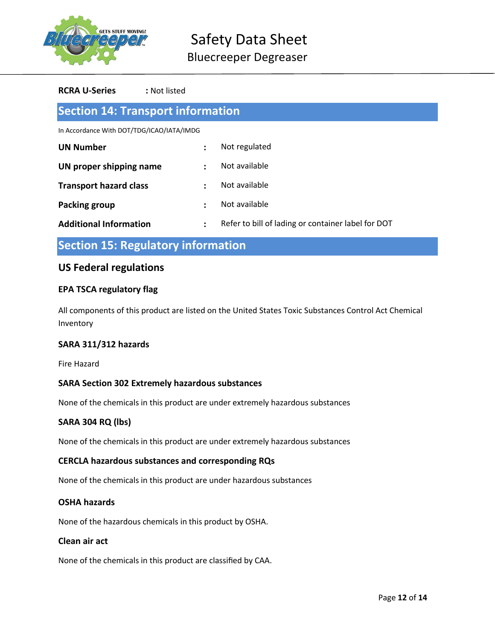

#### RCRA U-Series : Not listed

| <b>Section 14: Transport information</b>  |                |                                                    |  |  |
|-------------------------------------------|----------------|----------------------------------------------------|--|--|
| In Accordance With DOT/TDG/ICAO/IATA/IMDG |                |                                                    |  |  |
| <b>UN Number</b>                          | $\ddot{\cdot}$ | Not regulated                                      |  |  |
| UN proper shipping name                   | $\ddot{\cdot}$ | Not available                                      |  |  |
| <b>Transport hazard class</b>             | $\ddot{\cdot}$ | Not available                                      |  |  |
| <b>Packing group</b>                      | $\ddot{\cdot}$ | Not available                                      |  |  |
| <b>Additional Information</b>             | $\ddot{\cdot}$ | Refer to bill of lading or container label for DOT |  |  |

Section 15: Regulatory information

# US Federal regulations

## EPA TSCA regulatory flag

All components of this product are listed on the United States Toxic Substances Control Act Chemical Inventory

## SARA 311/312 hazards

Fire Hazard

## SARA Section 302 Extremely hazardous substances

None of the chemicals in this product are under extremely hazardous substances

## SARA 304 RQ (lbs)

None of the chemicals in this product are under extremely hazardous substances

#### CERCLA hazardous substances and corresponding RQs

None of the chemicals in this product are under hazardous substances

## OSHA hazards

None of the hazardous chemicals in this product by OSHA.

#### Clean air act

None of the chemicals in this product are classified by CAA.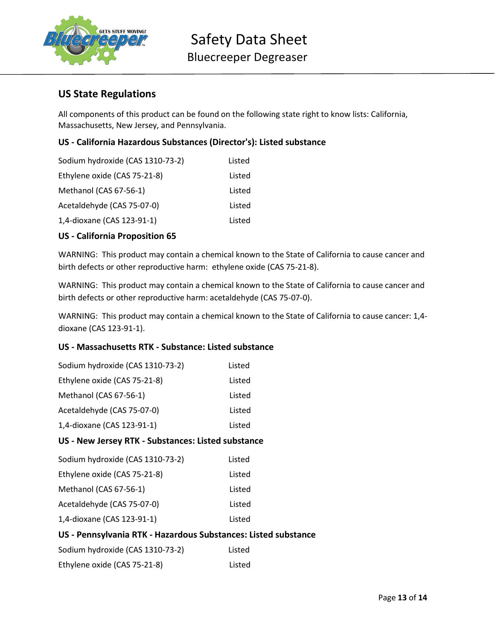

# US State Regulations

All components of this product can be found on the following state right to know lists: California, Massachusetts, New Jersey, and Pennsylvania.

# US - California Hazardous Substances (Director's): Listed substance

| Sodium hydroxide (CAS 1310-73-2) | Listed |
|----------------------------------|--------|
| Ethylene oxide (CAS 75-21-8)     | Listed |
| Methanol (CAS 67-56-1)           | Listed |
| Acetaldehyde (CAS 75-07-0)       | Listed |
| 1,4-dioxane (CAS 123-91-1)       | Listed |

## US - California Proposition 65

WARNING: This product may contain a chemical known to the State of California to cause cancer and birth defects or other reproductive harm: ethylene oxide (CAS 75-21-8).

WARNING: This product may contain a chemical known to the State of California to cause cancer and birth defects or other reproductive harm: acetaldehyde (CAS 75-07-0).

WARNING: This product may contain a chemical known to the State of California to cause cancer: 1,4 dioxane (CAS 123-91-1).

# US - Massachusetts RTK - Substance: Listed substance

| Sodium hydroxide (CAS 1310-73-2) | Listed |
|----------------------------------|--------|
| Ethylene oxide (CAS 75-21-8)     | Listed |
| Methanol (CAS 67-56-1)           | Listed |
| Acetaldehyde (CAS 75-07-0)       | Listed |
| 1,4-dioxane (CAS 123-91-1)       | Listed |
|                                  |        |

## US - New Jersey RTK - Substances: Listed substance

| Sodium hydroxide (CAS 1310-73-2) | Listed |
|----------------------------------|--------|
| Ethylene oxide (CAS 75-21-8)     | Listed |
| Methanol (CAS 67-56-1)           | Listed |
| Acetaldehyde (CAS 75-07-0)       | Listed |
| 1,4-dioxane (CAS 123-91-1)       | Listed |
|                                  |        |

## US - Pennsylvania RTK - Hazardous Substances: Listed substance

| Sodium hydroxide (CAS 1310-73-2) | Listed |
|----------------------------------|--------|
| Ethylene oxide (CAS 75-21-8)     | Listed |